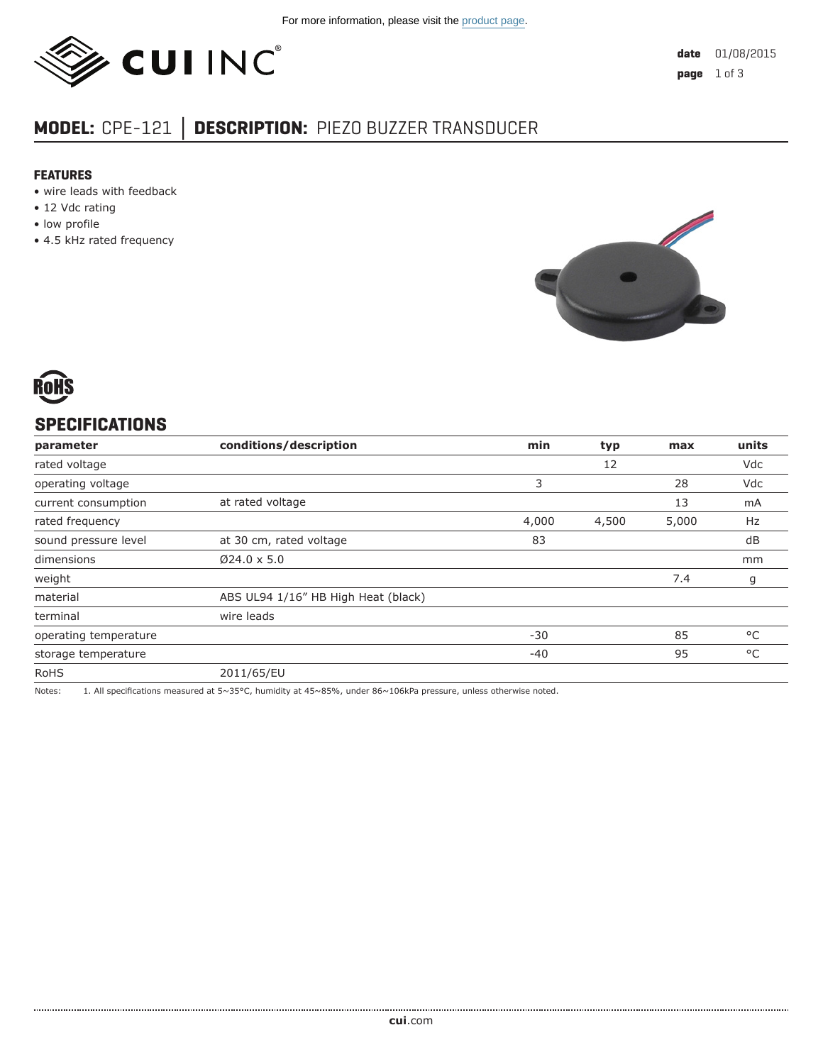

# **MODEL:** CPE-121 **│ DESCRIPTION:** PIEZO BUZZER TRANSDUCER

#### **FEATURES**

- wire leads with feedback
- 12 Vdc rating
- low profile
- 4.5 kHz rated frequency





# **SPECIFICATIONS**

| parameter             | conditions/description              | min   | typ   | max   | units |
|-----------------------|-------------------------------------|-------|-------|-------|-------|
| rated voltage         |                                     |       | 12    |       | Vdc   |
| operating voltage     |                                     | 3     |       | 28    | Vdc   |
| current consumption   | at rated voltage                    |       |       | 13    | mA    |
| rated frequency       |                                     | 4,000 | 4,500 | 5,000 | Hz    |
| sound pressure level  | at 30 cm, rated voltage             | 83    |       |       | dB    |
| dimensions            | $Ø24.0 \times 5.0$                  |       |       |       | mm    |
| weight                |                                     |       |       | 7.4   | g     |
| material              | ABS UL94 1/16" HB High Heat (black) |       |       |       |       |
| terminal              | wire leads                          |       |       |       |       |
| operating temperature |                                     | $-30$ |       | 85    | °C    |
| storage temperature   |                                     | $-40$ |       | 95    | °C    |
| <b>RoHS</b>           | 2011/65/EU                          |       |       |       |       |

Notes: 1. All specifications measured at 5~35°C, humidity at 45~85%, under 86~106kPa pressure, unless otherwise noted.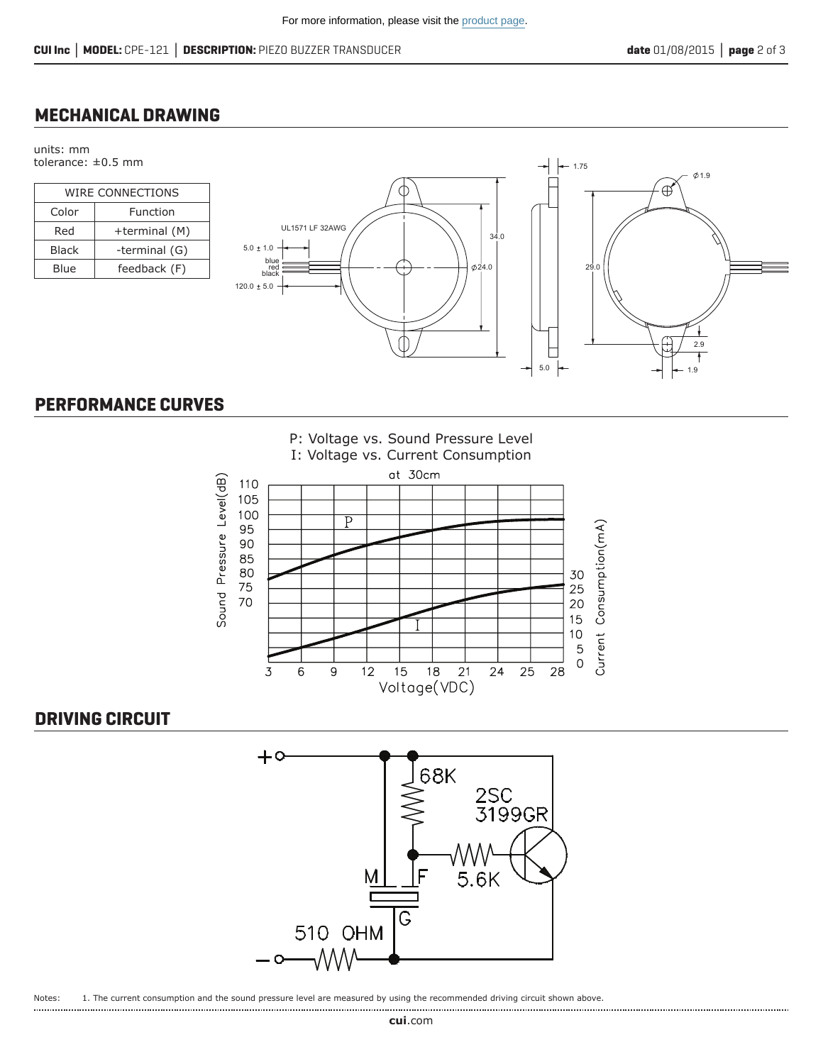#### **MECHANICAL DRAWING**

units: mm tolerance: ±0.5 mm

| <b>WIRE CONNECTIONS</b> |               |  |  |  |
|-------------------------|---------------|--|--|--|
| Color                   | Function      |  |  |  |
| Red                     | +terminal (M) |  |  |  |
| <b>Black</b>            | -terminal (G) |  |  |  |
| Blue                    | feedback (F)  |  |  |  |



## **PERFORMANCE CURVES**



### **DRIVING CIRCUIT**



Notes: 1. The current consumption and the sound pressure level are measured by using the recommended driving circuit shown above.